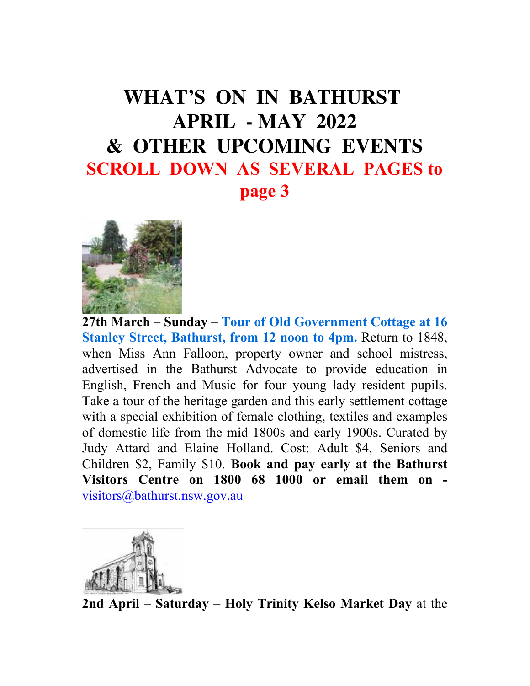#### **WHAT'S ON IN BATHURST APRIL - MAY 2022 & OTHER UPCOMING EVENTS SCROLL DOWN AS SEVERAL PAGES to page 3**



**27th March – Sunday – Tour of Old Government Cottage at 16 Stanley Street, Bathurst, from 12 noon to 4pm. Return to 1848,** when Miss Ann Falloon, property owner and school mistress, advertised in the Bathurst Advocate to provide education in English, French and Music for four young lady resident pupils. Take a tour of the heritage garden and this early settlement cottage with a special exhibition of female clothing, textiles and examples of domestic life from the mid 1800s and early 1900s. Curated by Judy Attard and Elaine Holland. Cost: Adult \$4, Seniors and Children \$2, Family \$10. **Book and pay early at the Bathurst Visitors Centre on 1800 68 1000 or email them on**  [visitors@bathurst.nsw.gov.au](mailto:visitors@bathurst.nsw.gov.au)



**2nd April – Saturday – Holy Trinity Kelso Market Day** at the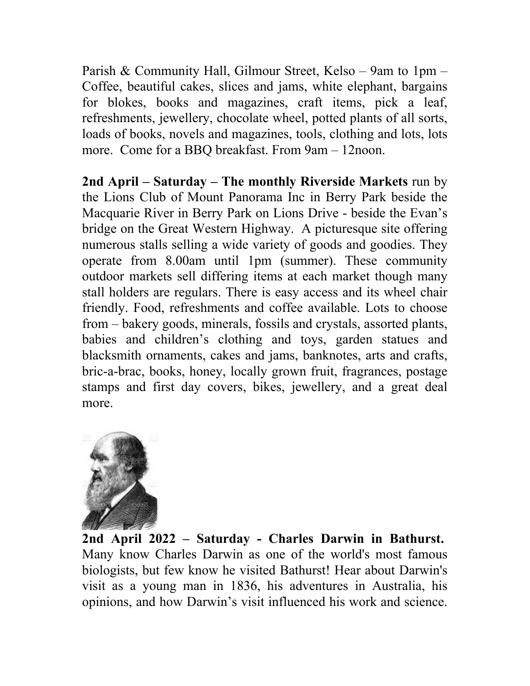Parish & Community Hall, Gilmour Street, Kelso – 9am to 1pm – Coffee, beautiful cakes, slices and jams, white elephant, bargains for blokes, books and magazines, craft items, pick a leaf, refreshments, jewellery, chocolate wheel, potted plants of all sorts, loads of books, novels and magazines, tools, clothing and lots, lots more. Come for a BBQ breakfast. From 9am – 12noon.

**2nd April – Saturday – The monthly Riverside Markets** run by the Lions Club of Mount Panorama Inc in Berry Park beside the Macquarie River in Berry Park on Lions Drive - beside the Evan's bridge on the Great Western Highway. A picturesque site offering numerous stalls selling a wide variety of goods and goodies. They operate from 8.00am until 1pm (summer). These community outdoor markets sell differing items at each market though many stall holders are regulars. There is easy access and its wheel chair friendly. Food, refreshments and coffee available. Lots to choose from – bakery goods, minerals, fossils and crystals, assorted plants, babies and children's clothing and toys, garden statues and blacksmith ornaments, cakes and jams, banknotes, arts and crafts, bric-a-brac, books, honey, locally grown fruit, fragrances, postage stamps and first day covers, bikes, jewellery, and a great deal more.



**2nd April 2022 – Saturday - Charles Darwin in Bathurst.**  Many know Charles Darwin as one of the world's most famous biologists, but few know he visited Bathurst! Hear about Darwin's visit as a young man in 1836, his adventures in Australia, his opinions, and how Darwin's visit influenced his work and science.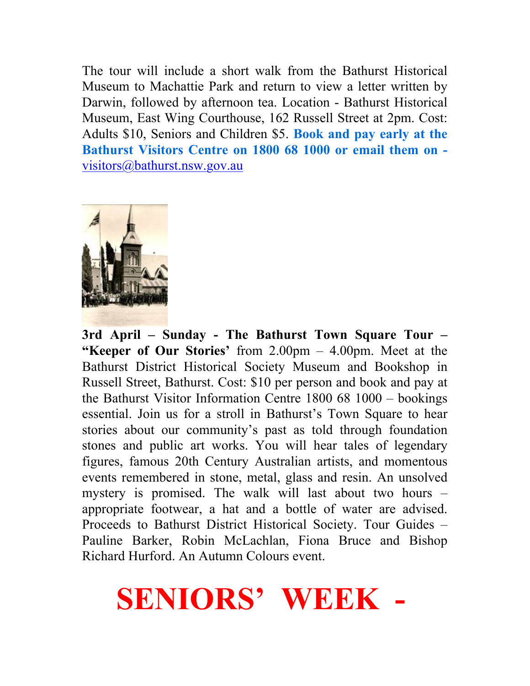The tour will include a short walk from the Bathurst Historical Museum to Machattie Park and return to view a letter written by Darwin, followed by afternoon tea. Location - Bathurst Historical Museum, East Wing Courthouse, 162 Russell Street at 2pm. Cost: Adults \$10, Seniors and Children \$5. **Book and pay early at the Bathurst Visitors Centre on 1800 68 1000 or email them on**  [visitors@bathurst.nsw.gov.au](mailto:visitors@bathurst.nsw.gov.au)



**3rd April – Sunday - The Bathurst Town Square Tour – "Keeper of Our Stories'** from 2.00pm – 4.00pm. Meet at the Bathurst District Historical Society Museum and Bookshop in Russell Street, Bathurst. Cost: \$10 per person and book and pay at the Bathurst Visitor Information Centre 1800 68 1000 – bookings essential. Join us for a stroll in Bathurst's Town Square to hear stories about our community's past as told through foundation stones and public art works. You will hear tales of legendary figures, famous 20th Century Australian artists, and momentous events remembered in stone, metal, glass and resin. An unsolved mystery is promised. The walk will last about two hours – appropriate footwear, a hat and a bottle of water are advised. Proceeds to Bathurst District Historical Society. Tour Guides – Pauline Barker, Robin McLachlan, Fiona Bruce and Bishop Richard Hurford. An Autumn Colours event.

### **SENIORS' WEEK -**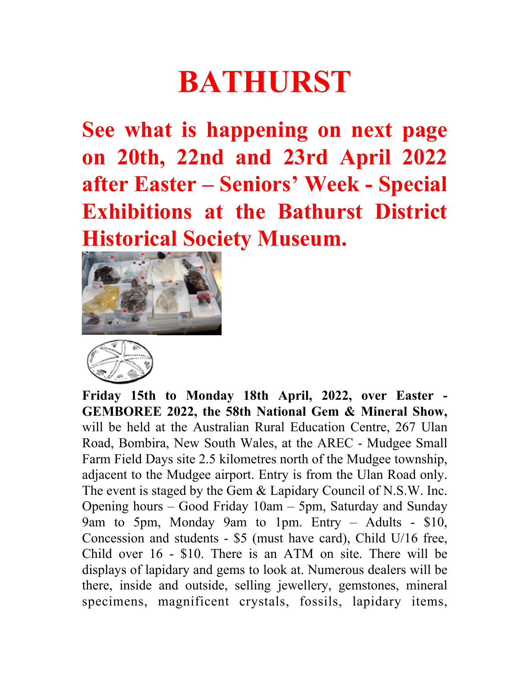## **BATHURST**

**See what is happening on next page on 20th, 22nd and 23rd April 2022 after Easter – Seniors' Week - Special Exhibitions at the Bathurst District Historical Society Museum.** 





**Friday 15th to Monday 18th April, 2022, over Easter - GEMBOREE 2022, the 58th National Gem & Mineral Show,**  will be held at the Australian Rural Education Centre, 267 Ulan Road, Bombira, New South Wales, at the AREC - Mudgee Small Farm Field Days site 2.5 kilometres north of the Mudgee township, adjacent to the Mudgee airport. Entry is from the Ulan Road only. The event is staged by the Gem & Lapidary Council of N.S.W. Inc. Opening hours – Good Friday 10am – 5pm, Saturday and Sunday 9am to 5pm, Monday 9am to 1pm. Entry – Adults - \$10, Concession and students - \$5 (must have card), Child U/16 free, Child over 16 - \$10. There is an ATM on site. There will be displays of lapidary and gems to look at. Numerous dealers will be there, inside and outside, selling jewellery, gemstones, mineral specimens, magnificent crystals, fossils, lapidary items,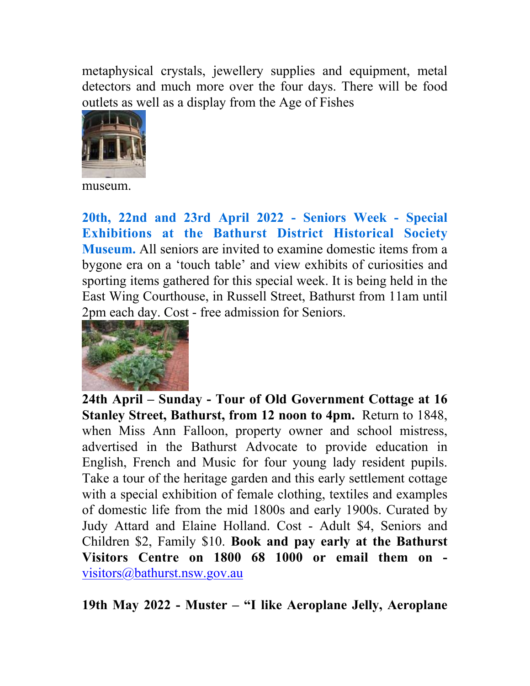metaphysical crystals, jewellery supplies and equipment, metal detectors and much more over the four days. There will be food outlets as well as a display from the Age of Fishes



museum.

**20th, 22nd and 23rd April 2022 - Seniors Week - Special Exhibitions at the Bathurst District Historical Society Museum.** All seniors are invited to examine domestic items from a bygone era on a 'touch table' and view exhibits of curiosities and sporting items gathered for this special week. It is being held in the East Wing Courthouse, in Russell Street, Bathurst from 11am until 2pm each day. Cost - free admission for Seniors.



**24th April – Sunday - Tour of Old Government Cottage at 16 Stanley Street, Bathurst, from 12 noon to 4pm.** Return to 1848, when Miss Ann Falloon, property owner and school mistress, advertised in the Bathurst Advocate to provide education in English, French and Music for four young lady resident pupils. Take a tour of the heritage garden and this early settlement cottage with a special exhibition of female clothing, textiles and examples of domestic life from the mid 1800s and early 1900s. Curated by Judy Attard and Elaine Holland. Cost - Adult \$4, Seniors and Children \$2, Family \$10. **Book and pay early at the Bathurst Visitors Centre on 1800 68 1000 or email them on**  [visitors@bathurst.nsw.gov.au](mailto:visitors@bathurst.nsw.gov.au)

**19th May 2022 - Muster – "I like Aeroplane Jelly, Aeroplane**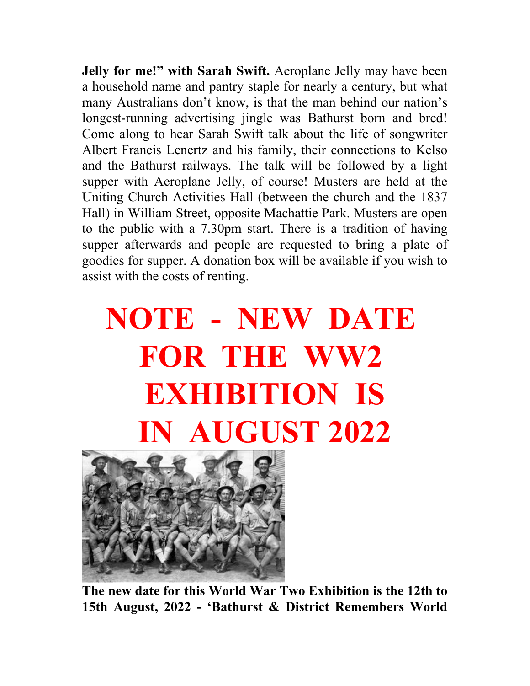**Jelly for me!" with Sarah Swift.** Aeroplane Jelly may have been a household name and pantry staple for nearly a century, but what many Australians don't know, is that the man behind our nation's longest-running advertising jingle was Bathurst born and bred! Come along to hear Sarah Swift talk about the life of songwriter Albert Francis Lenertz and his family, their connections to Kelso and the Bathurst railways. The talk will be followed by a light supper with Aeroplane Jelly, of course! Musters are held at the Uniting Church Activities Hall (between the church and the 1837 Hall) in William Street, opposite Machattie Park. Musters are open to the public with a 7.30pm start. There is a tradition of having supper afterwards and people are requested to bring a plate of goodies for supper. A donation box will be available if you wish to assist with the costs of renting.

# **NOTE - NEW DATE FOR THE WW2 EXHIBITION IS IN AUGUST 2022**



**The new date for this World War Two Exhibition is the 12th to 15th August, 2022 - 'Bathurst & District Remembers World**